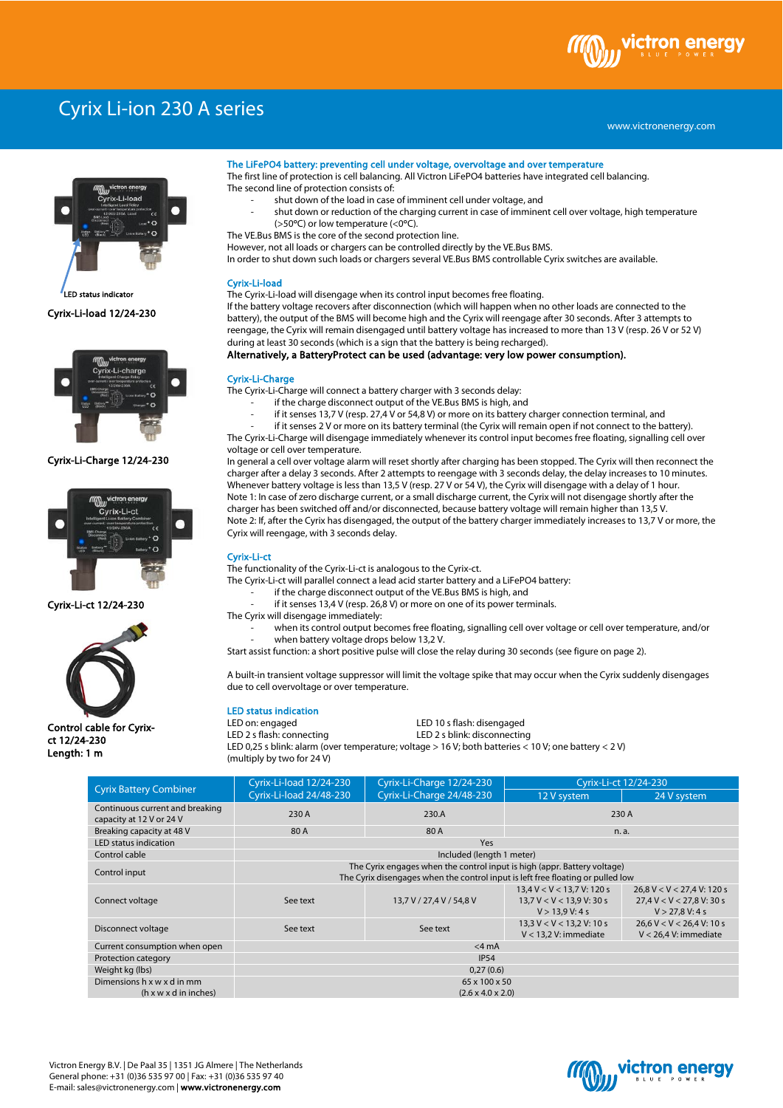

# Cyrix Li-ion 230 A series

www.victronenergy.com



Cyrix-Li-load 12/24-230 LED status indicato



# Cyrix-Li-Charge 12/24-230



Cyrix-Li-ct 12/24-230



Control cable for Cyrixct 12/24-230 Length: 1 m

#### The LiFePO4 battery: preventing cell under voltage, overvoltage and over temperature

The first line of protection is cell balancing. All Victron LiFePO4 batteries have integrated cell balancing. The second line of protection consists of:

- shut down of the load in case of imminent cell under voltage, and
	- shut down or reduction of the charging current in case of imminent cell over voltage, high temperature (>50°C) or low temperature (<0°C).
- The VE.Bus BMS is the core of the second protection line.

However, not all loads or chargers can be controlled directly by the VE.Bus BMS.

In order to shut down such loads or chargers several VE.Bus BMS controllable Cyrix switches are available.

### Cyrix-Li-load

The Cyrix-Li-load will disengage when its control input becomes free floating.

If the battery voltage recovers after disconnection (which will happen when no other loads are connected to the battery), the output of the BMS will become high and the Cyrix will reengage after 30 seconds. After 3 attempts to reengage, the Cyrix will remain disengaged until battery voltage has increased to more than 13 V (resp. 26 V or 52 V) during at least 30 seconds (which is a sign that the battery is being recharged).

## Alternatively, a BatteryProtect can be used (advantage: very low power consumption).

#### Cyrix-Li-Charge

The Cyrix-Li-Charge will connect a battery charger with 3 seconds delay:

- if the charge disconnect output of the VE.Bus BMS is high, and
- if it senses 13,7 V (resp. 27.4 V or 54,8 V) or more on its battery charger connection terminal, and
- if it senses 2 V or more on its battery terminal (the Cyrix will remain open if not connect to the battery). The Cyrix-Li-Charge will disengage immediately whenever its control input becomes free floating, signalling cell over

voltage or cell over temperature. In general a cell over voltage alarm will reset shortly after charging has been stopped. The Cyrix will then reconnect the

charger after a delay 3 seconds. After 2 attempts to reengage with 3 seconds delay, the delay increases to 10 minutes. Whenever battery voltage is less than 13,5 V (resp. 27 V or 54 V), the Cyrix will disengage with a delay of 1 hour. Note 1: In case of zero discharge current, or a small discharge current, the Cyrix will not disengage shortly after the charger has been switched off and/or disconnected, because battery voltage will remain higher than 13,5 V. Note 2: If, after the Cyrix has disengaged, the output of the battery charger immediately increases to 13,7 V or more, the Cyrix will reengage, with 3 seconds delay.

#### Cyrix-Li-ct

The functionality of the Cyrix-Li-ct is analogous to the Cyrix-ct.

The Cyrix-Li-ct will parallel connect a lead acid starter battery and a LiFePO4 battery:

- if the charge disconnect output of the VE.Bus BMS is high, and
- if it senses 13,4 V (resp. 26,8 V) or more on one of its power terminals.
- The Cyrix will disengage immediately:
	- when its control output becomes free floating, signalling cell over voltage or cell over temperature, and/or when battery voltage drops below 13.2 V.
- Start assist function: a short positive pulse will close the relay during 30 seconds (see figure on page 2).

A built-in transient voltage suppressor will limit the voltage spike that may occur when the Cyrix suddenly disengages due to cell overvoltage or over temperature.

## LED status indication

LED on: engaged LED 10 s flash: disengaged

LED 2 s flash: connecting LED 2 s blink: disconnecting LED 0,25 s blink: alarm (over temperature; voltage > 16 V; both batteries < 10 V; one battery < 2 V) (multiply by two for 24 V)

| <b>Cyrix Battery Combiner</b>                               | Cyrix-Li-load 12/24-230                                                                                                                                     | Cyrix-Li-Charge 12/24-230 | Cyrix-Li-ct 12/24-230                                                            |                                                                                 |
|-------------------------------------------------------------|-------------------------------------------------------------------------------------------------------------------------------------------------------------|---------------------------|----------------------------------------------------------------------------------|---------------------------------------------------------------------------------|
|                                                             | Cyrix-Li-load 24/48-230                                                                                                                                     | Cyrix-Li-Charge 24/48-230 | 12 V system                                                                      | 24 V system                                                                     |
| Continuous current and breaking<br>capacity at 12 V or 24 V | 230 A                                                                                                                                                       | 230.A                     | 230 A                                                                            |                                                                                 |
| Breaking capacity at 48 V                                   | 80 A                                                                                                                                                        | 80 A                      | n. a.                                                                            |                                                                                 |
| LED status indication                                       | Yes                                                                                                                                                         |                           |                                                                                  |                                                                                 |
| Control cable                                               | Included (length 1 meter)                                                                                                                                   |                           |                                                                                  |                                                                                 |
| Control input                                               | The Cyrix engages when the control input is high (appr. Battery voltage)<br>The Cyrix disengages when the control input is left free floating or pulled low |                           |                                                                                  |                                                                                 |
| Connect voltage                                             | See text                                                                                                                                                    | 13,7 V / 27,4 V / 54,8 V  | $13.4 V < V < 13.7 V$ : 120 s<br>$13.7 V < V < 13.9 V$ : 30 s<br>V > 13.9 V: 4 s | $26.8 V < V < 27.4 V$ : 120 s<br>$27.4$ V < V < 27.8 V: 30 s<br>V > 27,8 V: 4 s |
| Disconnect voltage                                          | See text                                                                                                                                                    | See text                  | $13.3 \text{ V} < \text{V} < 13.2 \text{ V}$ : 10 s<br>$V < 13.2 V$ : immediate  | $26.6 V < V < 26.4 V$ : 10 s<br>$V < 26.4$ V: immediate                         |
| Current consumption when open                               | $<$ 4 mA                                                                                                                                                    |                           |                                                                                  |                                                                                 |
| Protection category                                         | <b>IP54</b>                                                                                                                                                 |                           |                                                                                  |                                                                                 |
| Weight kg (lbs)                                             | 0,27(0.6)                                                                                                                                                   |                           |                                                                                  |                                                                                 |
| Dimensions h x w x d in mm                                  | 65 x 100 x 50                                                                                                                                               |                           |                                                                                  |                                                                                 |
| $(h \times w \times d)$ in inches)                          | $(2.6 \times 4.0 \times 2.0)$                                                                                                                               |                           |                                                                                  |                                                                                 |